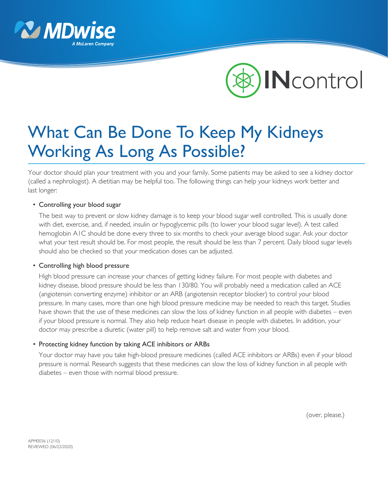



# What Can Be Done To Keep My Kidneys Working As Long As Possible?

Your doctor should plan your treatment with you and your family. Some patients may be asked to see a kidney doctor (called a nephrologist). A dietitian may be helpful too. The following things can help your kidneys work better and last longer:

### • Controlling your blood sugar

 The best way to prevent or slow kidney damage is to keep your blood sugar well controlled. This is usually done with diet, exercise, and, if needed, insulin or hypoglycemic pills (to lower your blood sugar level). A test called hemoglobin A1C should be done every three to six months to check your average blood sugar. Ask your doctor what your test result should be. For most people, the result should be less than 7 percent. Daily blood sugar levels should also be checked so that your medication doses can be adjusted.

### • Controlling high blood pressure

 High blood pressure can increase your chances of getting kidney failure. For most people with diabetes and kidney disease, blood pressure should be less than 130/80. You will probably need a medication called an ACE (angiotensin converting enzyme) inhibitor or an ARB (angiotensin receptor blocker) to control your blood pressure. In many cases, more than one high blood pressure medicine may be needed to reach this target. Studies have shown that the use of these medicines can slow the loss of kidney function in all people with diabetes – even if your blood pressure is normal. They also help reduce heart disease in people with diabetes. In addition, your doctor may prescribe a diuretic (water pill) to help remove salt and water from your blood.

### • Protecting kidney function by taking ACE inhibitors or ARBs

 Your doctor may have you take high-blood pressure medicines (called ACE inhibitors or ARBs) even if your blood pressure is normal. Research suggests that these medicines can slow the loss of kidney function in all people with diabetes – even those with normal blood pressure.

(over, please.)

APM0036 (12/10) REVIEWED (06/22/2020)